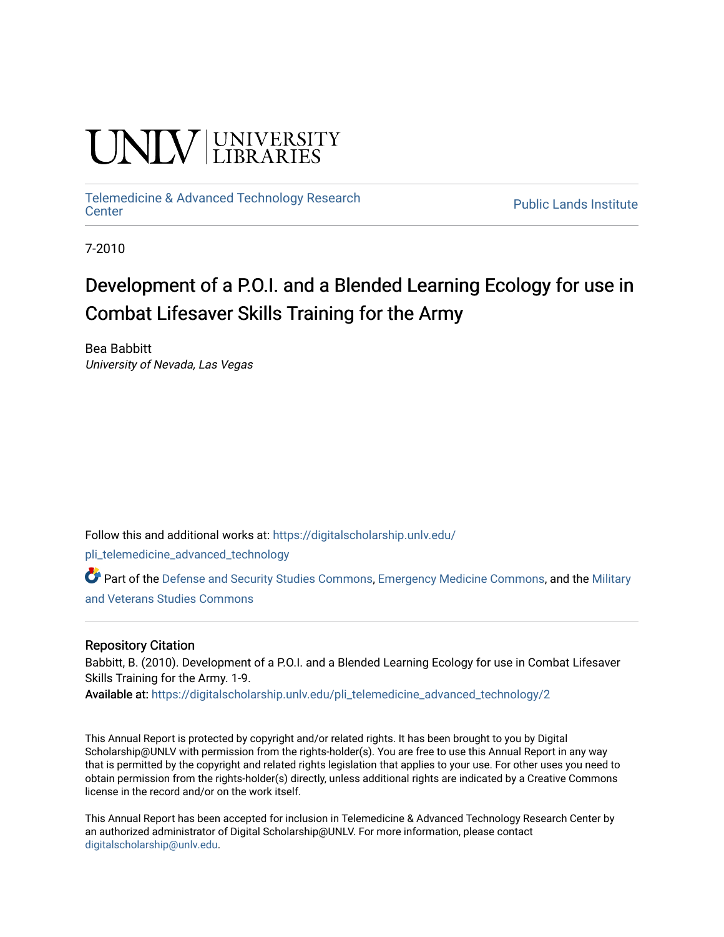# UNIV UNIVERSITY

[Telemedicine & Advanced Technology Research](https://digitalscholarship.unlv.edu/pli_telemedicine_advanced_technology)

**Public Lands Institute** 

7-2010

## Development of a P.O.I. and a Blended Learning Ecology for use in Combat Lifesaver Skills Training for the Army

Bea Babbitt University of Nevada, Las Vegas

Follow this and additional works at: [https://digitalscholarship.unlv.edu/](https://digitalscholarship.unlv.edu/pli_telemedicine_advanced_technology?utm_source=digitalscholarship.unlv.edu%2Fpli_telemedicine_advanced_technology%2F2&utm_medium=PDF&utm_campaign=PDFCoverPages)

[pli\\_telemedicine\\_advanced\\_technology](https://digitalscholarship.unlv.edu/pli_telemedicine_advanced_technology?utm_source=digitalscholarship.unlv.edu%2Fpli_telemedicine_advanced_technology%2F2&utm_medium=PDF&utm_campaign=PDFCoverPages) 

Part of the [Defense and Security Studies Commons](http://network.bepress.com/hgg/discipline/394?utm_source=digitalscholarship.unlv.edu%2Fpli_telemedicine_advanced_technology%2F2&utm_medium=PDF&utm_campaign=PDFCoverPages), [Emergency Medicine Commons,](http://network.bepress.com/hgg/discipline/685?utm_source=digitalscholarship.unlv.edu%2Fpli_telemedicine_advanced_technology%2F2&utm_medium=PDF&utm_campaign=PDFCoverPages) and the [Military](http://network.bepress.com/hgg/discipline/396?utm_source=digitalscholarship.unlv.edu%2Fpli_telemedicine_advanced_technology%2F2&utm_medium=PDF&utm_campaign=PDFCoverPages)  [and Veterans Studies Commons](http://network.bepress.com/hgg/discipline/396?utm_source=digitalscholarship.unlv.edu%2Fpli_telemedicine_advanced_technology%2F2&utm_medium=PDF&utm_campaign=PDFCoverPages) 

#### Repository Citation

Babbitt, B. (2010). Development of a P.O.I. and a Blended Learning Ecology for use in Combat Lifesaver Skills Training for the Army. 1-9.

Available at: [https://digitalscholarship.unlv.edu/pli\\_telemedicine\\_advanced\\_technology/2](https://digitalscholarship.unlv.edu/pli_telemedicine_advanced_technology/2) 

This Annual Report is protected by copyright and/or related rights. It has been brought to you by Digital Scholarship@UNLV with permission from the rights-holder(s). You are free to use this Annual Report in any way that is permitted by the copyright and related rights legislation that applies to your use. For other uses you need to obtain permission from the rights-holder(s) directly, unless additional rights are indicated by a Creative Commons license in the record and/or on the work itself.

This Annual Report has been accepted for inclusion in Telemedicine & Advanced Technology Research Center by an authorized administrator of Digital Scholarship@UNLV. For more information, please contact [digitalscholarship@unlv.edu](mailto:digitalscholarship@unlv.edu).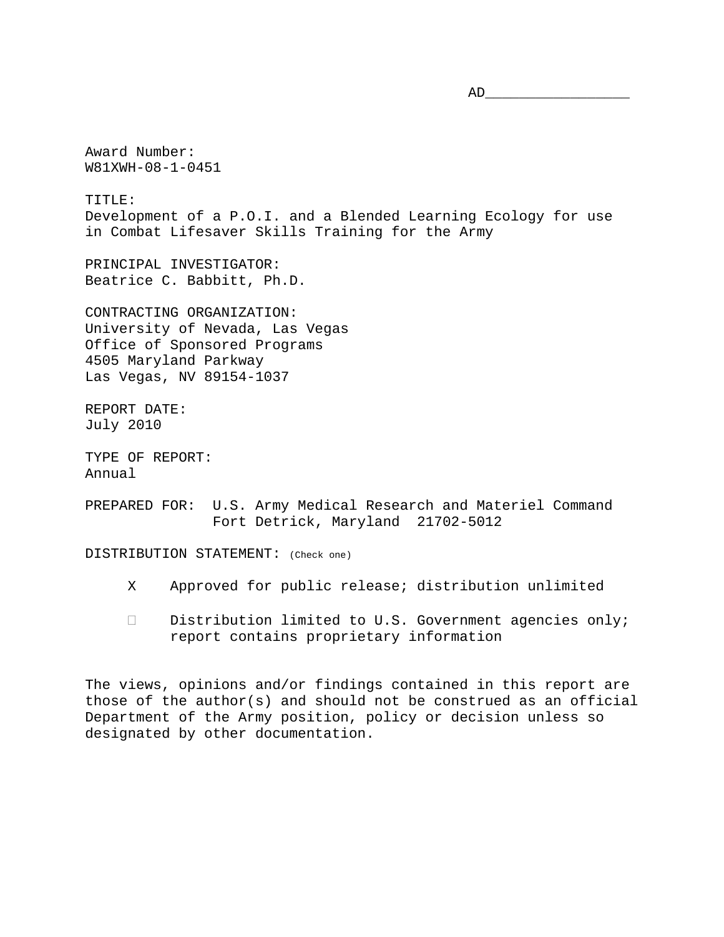Award Number:

W81XWH-08-1-0451

TITLE: Development of a P.O.I. and a Blended Learning Ecology for use in Combat Lifesaver Skills Training for the Army

PRINCIPAL INVESTIGATOR: Beatrice C. Babbitt, Ph.D.

CONTRACTING ORGANIZATION: University of Nevada, Las Vegas Office of Sponsored Programs 4505 Maryland Parkway Las Vegas, NV 89154-1037

REPORT DATE: July 2010

TYPE OF REPORT: Annual

PREPARED FOR: U.S. Army Medical Research and Materiel Command Fort Detrick, Maryland 21702-5012

DISTRIBUTION STATEMENT: (Check one)

- X Approved for public release; distribution unlimited
- $\Box$  Distribution limited to U.S. Government agencies only; report contains proprietary information

The views, opinions and/or findings contained in this report are those of the author(s) and should not be construed as an official Department of the Army position, policy or decision unless so designated by other documentation.

AD\_\_\_\_\_\_\_\_\_\_\_\_\_\_\_\_\_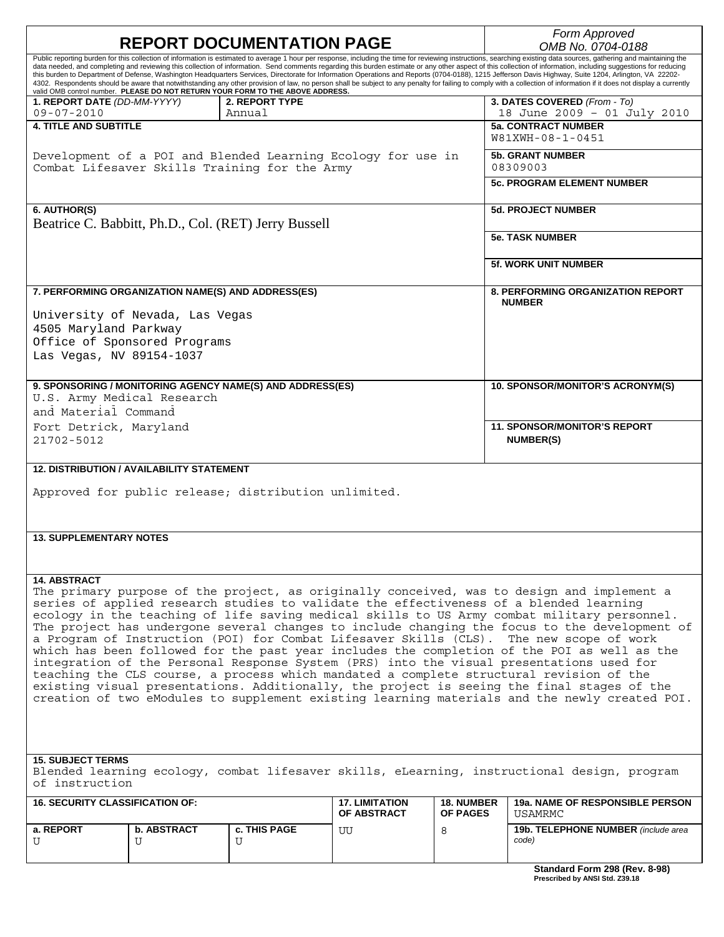| <b>REPORT DOCUMENTATION PAGE</b>                                                                                                                                                                                      |                    |                                                                                                               |                                             |                                      | Form Approved<br>OMB No. 0704-0188                                                                                                                                                                                                                                                                                                                                                                                                                                                                                                                                                                                                                   |  |
|-----------------------------------------------------------------------------------------------------------------------------------------------------------------------------------------------------------------------|--------------------|---------------------------------------------------------------------------------------------------------------|---------------------------------------------|--------------------------------------|------------------------------------------------------------------------------------------------------------------------------------------------------------------------------------------------------------------------------------------------------------------------------------------------------------------------------------------------------------------------------------------------------------------------------------------------------------------------------------------------------------------------------------------------------------------------------------------------------------------------------------------------------|--|
| Public reporting burden for this collection of information is estimated to average 1 hour per response, including the time for reviewing instructions, searching existing data sources, gathering and maintaining the |                    |                                                                                                               |                                             |                                      |                                                                                                                                                                                                                                                                                                                                                                                                                                                                                                                                                                                                                                                      |  |
|                                                                                                                                                                                                                       |                    |                                                                                                               |                                             |                                      | data needed, and completing and reviewing this collection of information. Send comments regarding this burden estimate or any other aspect of this collection of information, including suggestions for reducing<br>this burden to Department of Defense, Washington Headquarters Services, Directorate for Information Operations and Reports (0704-0188), 1215 Jefferson Davis Highway, Suite 1204, Arlington, VA 22202-<br>4302. Respondents should be aware that notwithstanding any other provision of law, no person shall be subject to any penalty for failing to comply with a collection of information if it does not display a currently |  |
|                                                                                                                                                                                                                       |                    | valid OMB control number. PLEASE DO NOT RETURN YOUR FORM TO THE ABOVE ADDRESS.                                |                                             |                                      |                                                                                                                                                                                                                                                                                                                                                                                                                                                                                                                                                                                                                                                      |  |
| 1. REPORT DATE (DD-MM-YYYY)<br>$09 - 07 - 2010$                                                                                                                                                                       |                    | 2. REPORT TYPE<br>Annual                                                                                      |                                             |                                      | 3. DATES COVERED (From - To)<br>18 June 2009 - 01 July 2010                                                                                                                                                                                                                                                                                                                                                                                                                                                                                                                                                                                          |  |
| <b>4. TITLE AND SUBTITLE</b>                                                                                                                                                                                          |                    |                                                                                                               |                                             |                                      | <b>5a. CONTRACT NUMBER</b>                                                                                                                                                                                                                                                                                                                                                                                                                                                                                                                                                                                                                           |  |
|                                                                                                                                                                                                                       |                    |                                                                                                               |                                             |                                      | W81XWH-08-1-0451                                                                                                                                                                                                                                                                                                                                                                                                                                                                                                                                                                                                                                     |  |
|                                                                                                                                                                                                                       |                    | Development of a POI and Blended Learning Ecology for use in<br>Combat Lifesaver Skills Training for the Army |                                             |                                      | <b>5b. GRANT NUMBER</b><br>08309003                                                                                                                                                                                                                                                                                                                                                                                                                                                                                                                                                                                                                  |  |
|                                                                                                                                                                                                                       |                    |                                                                                                               |                                             |                                      | <b>5c. PROGRAM ELEMENT NUMBER</b>                                                                                                                                                                                                                                                                                                                                                                                                                                                                                                                                                                                                                    |  |
|                                                                                                                                                                                                                       |                    |                                                                                                               |                                             |                                      |                                                                                                                                                                                                                                                                                                                                                                                                                                                                                                                                                                                                                                                      |  |
| 6. AUTHOR(S)                                                                                                                                                                                                          |                    | Beatrice C. Babbitt, Ph.D., Col. (RET) Jerry Bussell                                                          |                                             |                                      | <b>5d. PROJECT NUMBER</b>                                                                                                                                                                                                                                                                                                                                                                                                                                                                                                                                                                                                                            |  |
|                                                                                                                                                                                                                       |                    |                                                                                                               |                                             |                                      | <b>5e. TASK NUMBER</b>                                                                                                                                                                                                                                                                                                                                                                                                                                                                                                                                                                                                                               |  |
|                                                                                                                                                                                                                       |                    |                                                                                                               |                                             |                                      | 5f. WORK UNIT NUMBER                                                                                                                                                                                                                                                                                                                                                                                                                                                                                                                                                                                                                                 |  |
| 7. PERFORMING ORGANIZATION NAME(S) AND ADDRESS(ES)                                                                                                                                                                    |                    |                                                                                                               |                                             |                                      | <b>8. PERFORMING ORGANIZATION REPORT</b><br><b>NUMBER</b>                                                                                                                                                                                                                                                                                                                                                                                                                                                                                                                                                                                            |  |
| University of Nevada, Las Vegas                                                                                                                                                                                       |                    |                                                                                                               |                                             |                                      |                                                                                                                                                                                                                                                                                                                                                                                                                                                                                                                                                                                                                                                      |  |
| 4505 Maryland Parkway                                                                                                                                                                                                 |                    |                                                                                                               |                                             |                                      |                                                                                                                                                                                                                                                                                                                                                                                                                                                                                                                                                                                                                                                      |  |
| Office of Sponsored Programs                                                                                                                                                                                          |                    |                                                                                                               |                                             |                                      |                                                                                                                                                                                                                                                                                                                                                                                                                                                                                                                                                                                                                                                      |  |
| Las Vegas, NV 89154-1037                                                                                                                                                                                              |                    |                                                                                                               |                                             |                                      |                                                                                                                                                                                                                                                                                                                                                                                                                                                                                                                                                                                                                                                      |  |
|                                                                                                                                                                                                                       |                    |                                                                                                               |                                             |                                      |                                                                                                                                                                                                                                                                                                                                                                                                                                                                                                                                                                                                                                                      |  |
|                                                                                                                                                                                                                       |                    | 9. SPONSORING / MONITORING AGENCY NAME(S) AND ADDRESS(ES)                                                     |                                             |                                      | 10. SPONSOR/MONITOR'S ACRONYM(S)                                                                                                                                                                                                                                                                                                                                                                                                                                                                                                                                                                                                                     |  |
| U.S. Army Medical Research                                                                                                                                                                                            |                    |                                                                                                               |                                             |                                      |                                                                                                                                                                                                                                                                                                                                                                                                                                                                                                                                                                                                                                                      |  |
| and Material Command                                                                                                                                                                                                  |                    |                                                                                                               |                                             |                                      |                                                                                                                                                                                                                                                                                                                                                                                                                                                                                                                                                                                                                                                      |  |
| Fort Detrick, Maryland                                                                                                                                                                                                |                    |                                                                                                               |                                             |                                      | <b>11. SPONSOR/MONITOR'S REPORT</b>                                                                                                                                                                                                                                                                                                                                                                                                                                                                                                                                                                                                                  |  |
| 21702-5012                                                                                                                                                                                                            |                    |                                                                                                               |                                             |                                      | <b>NUMBER(S)</b>                                                                                                                                                                                                                                                                                                                                                                                                                                                                                                                                                                                                                                     |  |
|                                                                                                                                                                                                                       |                    |                                                                                                               |                                             |                                      |                                                                                                                                                                                                                                                                                                                                                                                                                                                                                                                                                                                                                                                      |  |
| <b>12. DISTRIBUTION / AVAILABILITY STATEMENT</b>                                                                                                                                                                      |                    |                                                                                                               |                                             |                                      |                                                                                                                                                                                                                                                                                                                                                                                                                                                                                                                                                                                                                                                      |  |
| Approved for public release; distribution unlimited.                                                                                                                                                                  |                    |                                                                                                               |                                             |                                      |                                                                                                                                                                                                                                                                                                                                                                                                                                                                                                                                                                                                                                                      |  |
|                                                                                                                                                                                                                       |                    |                                                                                                               |                                             |                                      |                                                                                                                                                                                                                                                                                                                                                                                                                                                                                                                                                                                                                                                      |  |
|                                                                                                                                                                                                                       |                    |                                                                                                               |                                             |                                      |                                                                                                                                                                                                                                                                                                                                                                                                                                                                                                                                                                                                                                                      |  |
| <b>13. SUPPLEMENTARY NOTES</b>                                                                                                                                                                                        |                    |                                                                                                               |                                             |                                      |                                                                                                                                                                                                                                                                                                                                                                                                                                                                                                                                                                                                                                                      |  |
|                                                                                                                                                                                                                       |                    |                                                                                                               |                                             |                                      |                                                                                                                                                                                                                                                                                                                                                                                                                                                                                                                                                                                                                                                      |  |
|                                                                                                                                                                                                                       |                    |                                                                                                               |                                             |                                      |                                                                                                                                                                                                                                                                                                                                                                                                                                                                                                                                                                                                                                                      |  |
| <b>14. ABSTRACT</b>                                                                                                                                                                                                   |                    |                                                                                                               |                                             |                                      |                                                                                                                                                                                                                                                                                                                                                                                                                                                                                                                                                                                                                                                      |  |
|                                                                                                                                                                                                                       |                    |                                                                                                               |                                             |                                      | The primary purpose of the project, as originally conceived, was to design and implement a                                                                                                                                                                                                                                                                                                                                                                                                                                                                                                                                                           |  |
|                                                                                                                                                                                                                       |                    |                                                                                                               |                                             |                                      | series of applied research studies to validate the effectiveness of a blended learning                                                                                                                                                                                                                                                                                                                                                                                                                                                                                                                                                               |  |
|                                                                                                                                                                                                                       |                    |                                                                                                               |                                             |                                      | ecology in the teaching of life saving medical skills to US Army combat military personnel.                                                                                                                                                                                                                                                                                                                                                                                                                                                                                                                                                          |  |
| The project has undergone several changes to include changing the focus to the development of<br>a Program of Instruction (POI) for Combat Lifesaver Skills (CLS). The new scope of work                              |                    |                                                                                                               |                                             |                                      |                                                                                                                                                                                                                                                                                                                                                                                                                                                                                                                                                                                                                                                      |  |
|                                                                                                                                                                                                                       |                    |                                                                                                               |                                             |                                      | which has been followed for the past year includes the completion of the POI as well as the                                                                                                                                                                                                                                                                                                                                                                                                                                                                                                                                                          |  |
|                                                                                                                                                                                                                       |                    |                                                                                                               |                                             |                                      | integration of the Personal Response System (PRS) into the visual presentations used for                                                                                                                                                                                                                                                                                                                                                                                                                                                                                                                                                             |  |
|                                                                                                                                                                                                                       |                    |                                                                                                               |                                             |                                      | teaching the CLS course, a process which mandated a complete structural revision of the                                                                                                                                                                                                                                                                                                                                                                                                                                                                                                                                                              |  |
| existing visual presentations. Additionally, the project is seeing the final stages of the                                                                                                                            |                    |                                                                                                               |                                             |                                      |                                                                                                                                                                                                                                                                                                                                                                                                                                                                                                                                                                                                                                                      |  |
| creation of two eModules to supplement existing learning materials and the newly created POI.                                                                                                                         |                    |                                                                                                               |                                             |                                      |                                                                                                                                                                                                                                                                                                                                                                                                                                                                                                                                                                                                                                                      |  |
|                                                                                                                                                                                                                       |                    |                                                                                                               |                                             |                                      |                                                                                                                                                                                                                                                                                                                                                                                                                                                                                                                                                                                                                                                      |  |
|                                                                                                                                                                                                                       |                    |                                                                                                               |                                             |                                      |                                                                                                                                                                                                                                                                                                                                                                                                                                                                                                                                                                                                                                                      |  |
|                                                                                                                                                                                                                       |                    |                                                                                                               |                                             |                                      |                                                                                                                                                                                                                                                                                                                                                                                                                                                                                                                                                                                                                                                      |  |
| <b>15. SUBJECT TERMS</b><br>Blended learning ecology, combat lifesaver skills, eLearning, instructional design, program                                                                                               |                    |                                                                                                               |                                             |                                      |                                                                                                                                                                                                                                                                                                                                                                                                                                                                                                                                                                                                                                                      |  |
| of instruction                                                                                                                                                                                                        |                    |                                                                                                               |                                             |                                      |                                                                                                                                                                                                                                                                                                                                                                                                                                                                                                                                                                                                                                                      |  |
| <b>16. SECURITY CLASSIFICATION OF:</b>                                                                                                                                                                                |                    |                                                                                                               | <b>17. LIMITATION</b><br><b>OF ABSTRACT</b> | <b>18. NUMBER</b><br><b>OF PAGES</b> | <b>19a. NAME OF RESPONSIBLE PERSON</b><br>USAMRMC                                                                                                                                                                                                                                                                                                                                                                                                                                                                                                                                                                                                    |  |
| a. REPORT                                                                                                                                                                                                             | <b>b. ABSTRACT</b> | <b>c. THIS PAGE</b>                                                                                           | UU                                          | 8                                    | 19b. TELEPHONE NUMBER (include area                                                                                                                                                                                                                                                                                                                                                                                                                                                                                                                                                                                                                  |  |
| U                                                                                                                                                                                                                     | U                  | U                                                                                                             |                                             |                                      | code)                                                                                                                                                                                                                                                                                                                                                                                                                                                                                                                                                                                                                                                |  |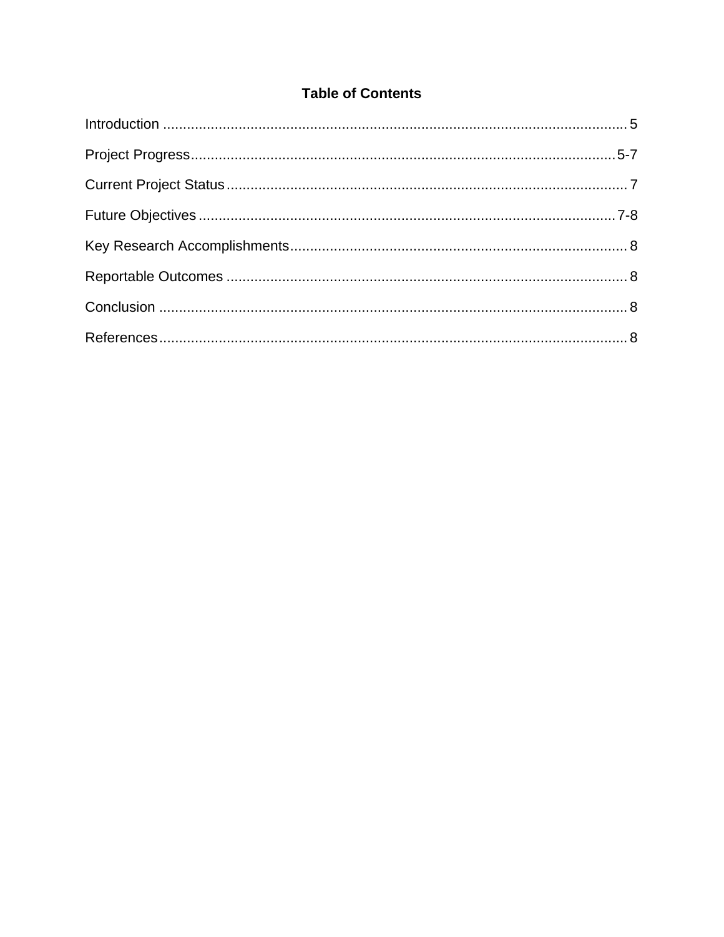## **Table of Contents**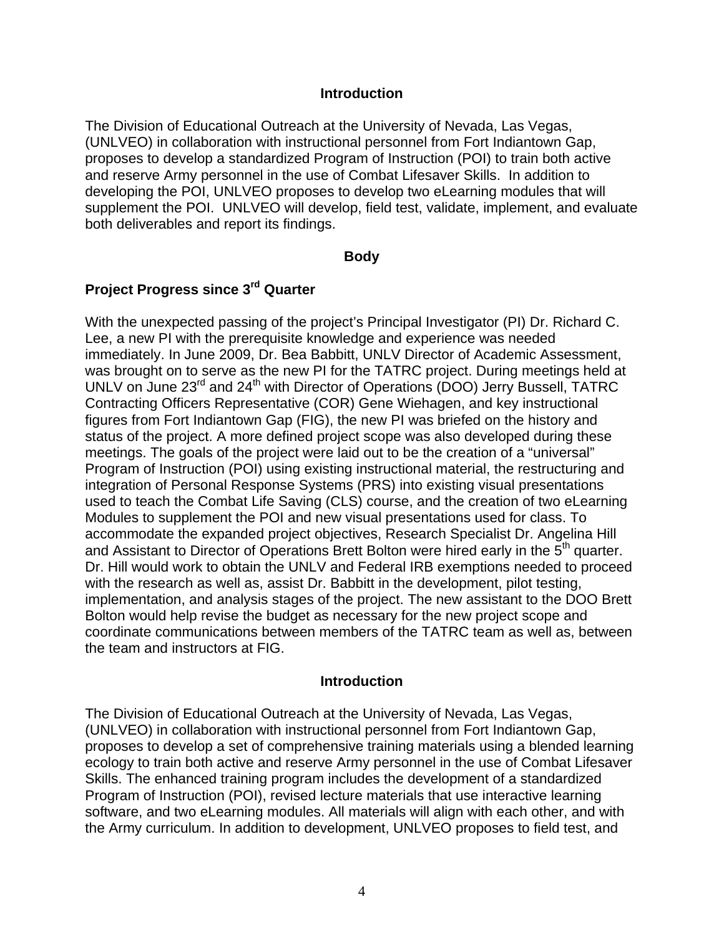#### **Introduction**

<span id="page-4-0"></span>The Division of Educational Outreach at the University of Nevada, Las Vegas, (UNLVEO) in collaboration with instructional personnel from Fort Indiantown Gap, proposes to develop a standardized Program of Instruction (POI) to train both active and reserve Army personnel in the use of Combat Lifesaver Skills. In addition to developing the POI, UNLVEO proposes to develop two eLearning modules that will supplement the POI. UNLVEO will develop, field test, validate, implement, and evaluate both deliverables and report its findings.

#### **Body**

## <span id="page-4-1"></span>**Project Progress since 3rd Quarter**

With the unexpected passing of the project's Principal Investigator (PI) Dr. Richard C. Lee, a new PI with the prerequisite knowledge and experience was needed immediately. In June 2009, Dr. Bea Babbitt, UNLV Director of Academic Assessment, was brought on to serve as the new PI for the TATRC project. During meetings held at UNLV on June 23<sup>rd</sup> and 24<sup>th</sup> with Director of Operations (DOO) Jerry Bussell, TATRC Contracting Officers Representative (COR) Gene Wiehagen, and key instructional figures from Fort Indiantown Gap (FIG), the new PI was briefed on the history and status of the project. A more defined project scope was also developed during these meetings. The goals of the project were laid out to be the creation of a "universal" Program of Instruction (POI) using existing instructional material, the restructuring and integration of Personal Response Systems (PRS) into existing visual presentations used to teach the Combat Life Saving (CLS) course, and the creation of two eLearning Modules to supplement the POI and new visual presentations used for class. To accommodate the expanded project objectives, Research Specialist Dr. Angelina Hill and Assistant to Director of Operations Brett Bolton were hired early in the 5<sup>th</sup> quarter. Dr. Hill would work to obtain the UNLV and Federal IRB exemptions needed to proceed with the research as well as, assist Dr. Babbitt in the development, pilot testing, implementation, and analysis stages of the project. The new assistant to the DOO Brett Bolton would help revise the budget as necessary for the new project scope and coordinate communications between members of the TATRC team as well as, between the team and instructors at FIG.

#### **Introduction**

The Division of Educational Outreach at the University of Nevada, Las Vegas, (UNLVEO) in collaboration with instructional personnel from Fort Indiantown Gap, proposes to develop a set of comprehensive training materials using a blended learning ecology to train both active and reserve Army personnel in the use of Combat Lifesaver Skills. The enhanced training program includes the development of a standardized Program of Instruction (POI), revised lecture materials that use interactive learning software, and two eLearning modules. All materials will align with each other, and with the Army curriculum. In addition to development, UNLVEO proposes to field test, and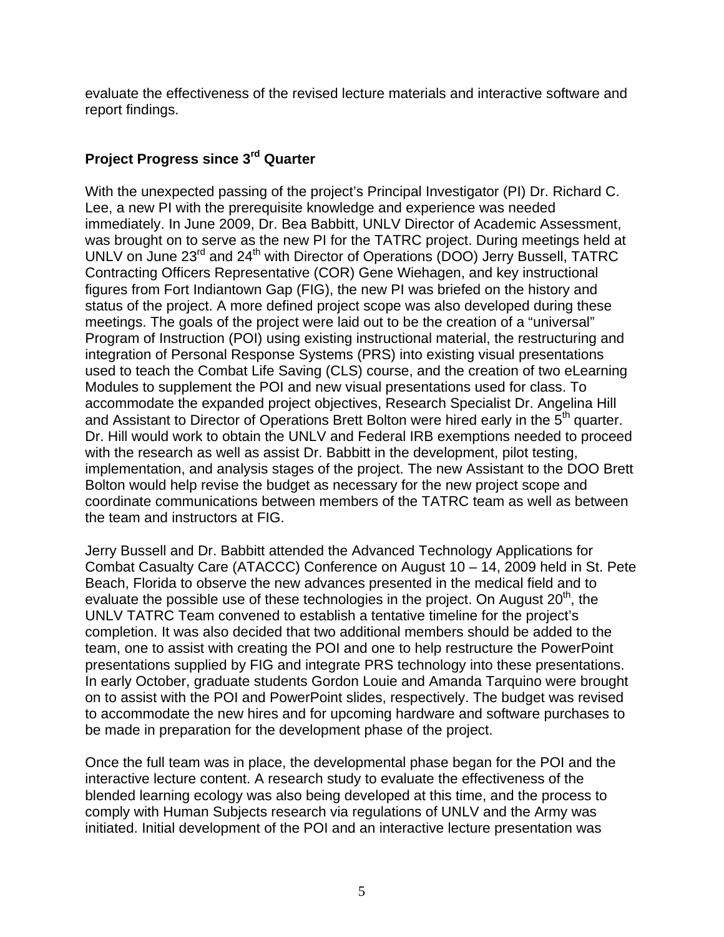evaluate the effectiveness of the revised lecture materials and interactive software and report findings.

## **Project Progress since 3rd Quarter**

With the unexpected passing of the project's Principal Investigator (PI) Dr. Richard C. Lee, a new PI with the prerequisite knowledge and experience was needed immediately. In June 2009, Dr. Bea Babbitt, UNLV Director of Academic Assessment, was brought on to serve as the new PI for the TATRC project. During meetings held at UNLV on June 23<sup>rd</sup> and 24<sup>th</sup> with Director of Operations (DOO) Jerry Bussell, TATRC Contracting Officers Representative (COR) Gene Wiehagen, and key instructional figures from Fort Indiantown Gap (FIG), the new PI was briefed on the history and status of the project. A more defined project scope was also developed during these meetings. The goals of the project were laid out to be the creation of a "universal" Program of Instruction (POI) using existing instructional material, the restructuring and integration of Personal Response Systems (PRS) into existing visual presentations used to teach the Combat Life Saving (CLS) course, and the creation of two eLearning Modules to supplement the POI and new visual presentations used for class. To accommodate the expanded project objectives, Research Specialist Dr. Angelina Hill and Assistant to Director of Operations Brett Bolton were hired early in the  $5<sup>th</sup>$  quarter. Dr. Hill would work to obtain the UNLV and Federal IRB exemptions needed to proceed with the research as well as assist Dr. Babbitt in the development, pilot testing, implementation, and analysis stages of the project. The new Assistant to the DOO Brett Bolton would help revise the budget as necessary for the new project scope and coordinate communications between members of the TATRC team as well as between the team and instructors at FIG.

Jerry Bussell and Dr. Babbitt attended the Advanced Technology Applications for Combat Casualty Care (ATACCC) Conference on August 10 – 14, 2009 held in St. Pete Beach, Florida to observe the new advances presented in the medical field and to evaluate the possible use of these technologies in the project. On August  $20<sup>th</sup>$ , the UNLV TATRC Team convened to establish a tentative timeline for the project's completion. It was also decided that two additional members should be added to the team, one to assist with creating the POI and one to help restructure the PowerPoint presentations supplied by FIG and integrate PRS technology into these presentations. In early October, graduate students Gordon Louie and Amanda Tarquino were brought on to assist with the POI and PowerPoint slides, respectively. The budget was revised to accommodate the new hires and for upcoming hardware and software purchases to be made in preparation for the development phase of the project.

Once the full team was in place, the developmental phase began for the POI and the interactive lecture content. A research study to evaluate the effectiveness of the blended learning ecology was also being developed at this time, and the process to comply with Human Subjects research via regulations of UNLV and the Army was initiated. Initial development of the POI and an interactive lecture presentation was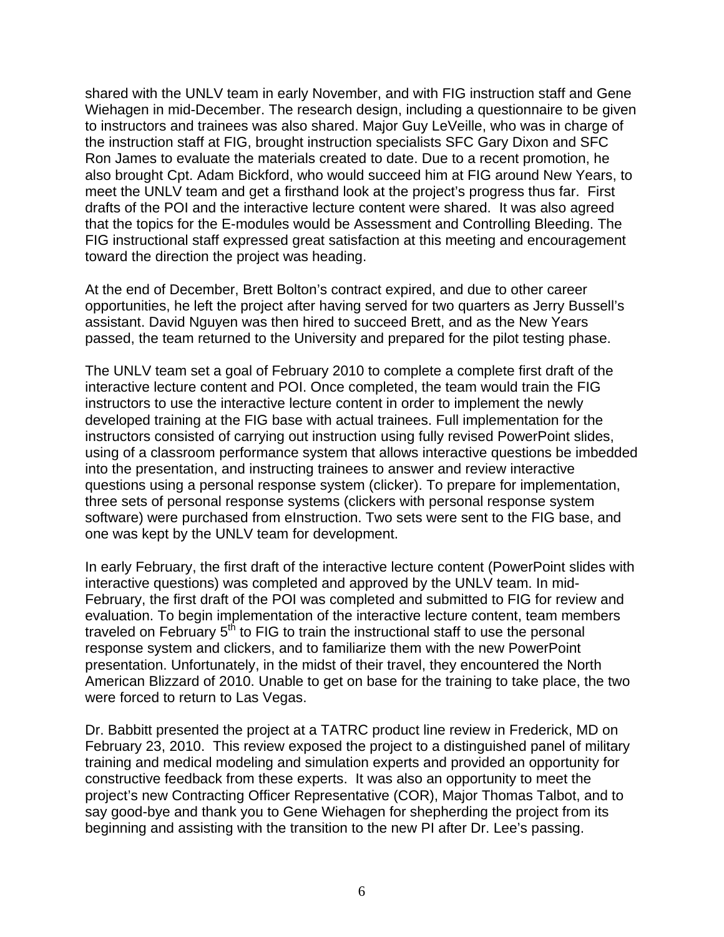shared with the UNLV team in early November, and with FIG instruction staff and Gene Wiehagen in mid-December. The research design, including a questionnaire to be given to instructors and trainees was also shared. Major Guy LeVeille, who was in charge of the instruction staff at FIG, brought instruction specialists SFC Gary Dixon and SFC Ron James to evaluate the materials created to date. Due to a recent promotion, he also brought Cpt. Adam Bickford, who would succeed him at FIG around New Years, to meet the UNLV team and get a firsthand look at the project's progress thus far. First drafts of the POI and the interactive lecture content were shared. It was also agreed that the topics for the E-modules would be Assessment and Controlling Bleeding. The FIG instructional staff expressed great satisfaction at this meeting and encouragement toward the direction the project was heading.

At the end of December, Brett Bolton's contract expired, and due to other career opportunities, he left the project after having served for two quarters as Jerry Bussell's assistant. David Nguyen was then hired to succeed Brett, and as the New Years passed, the team returned to the University and prepared for the pilot testing phase.

The UNLV team set a goal of February 2010 to complete a complete first draft of the interactive lecture content and POI. Once completed, the team would train the FIG instructors to use the interactive lecture content in order to implement the newly developed training at the FIG base with actual trainees. Full implementation for the instructors consisted of carrying out instruction using fully revised PowerPoint slides, using of a classroom performance system that allows interactive questions be imbedded into the presentation, and instructing trainees to answer and review interactive questions using a personal response system (clicker). To prepare for implementation, three sets of personal response systems (clickers with personal response system software) were purchased from eInstruction. Two sets were sent to the FIG base, and one was kept by the UNLV team for development.

In early February, the first draft of the interactive lecture content (PowerPoint slides with interactive questions) was completed and approved by the UNLV team. In mid-February, the first draft of the POI was completed and submitted to FIG for review and evaluation. To begin implementation of the interactive lecture content, team members traveled on February  $5<sup>th</sup>$  to FIG to train the instructional staff to use the personal response system and clickers, and to familiarize them with the new PowerPoint presentation. Unfortunately, in the midst of their travel, they encountered the North American Blizzard of 2010. Unable to get on base for the training to take place, the two were forced to return to Las Vegas.

Dr. Babbitt presented the project at a TATRC product line review in Frederick, MD on February 23, 2010. This review exposed the project to a distinguished panel of military training and medical modeling and simulation experts and provided an opportunity for constructive feedback from these experts. It was also an opportunity to meet the project's new Contracting Officer Representative (COR), Major Thomas Talbot, and to say good-bye and thank you to Gene Wiehagen for shepherding the project from its beginning and assisting with the transition to the new PI after Dr. Lee's passing.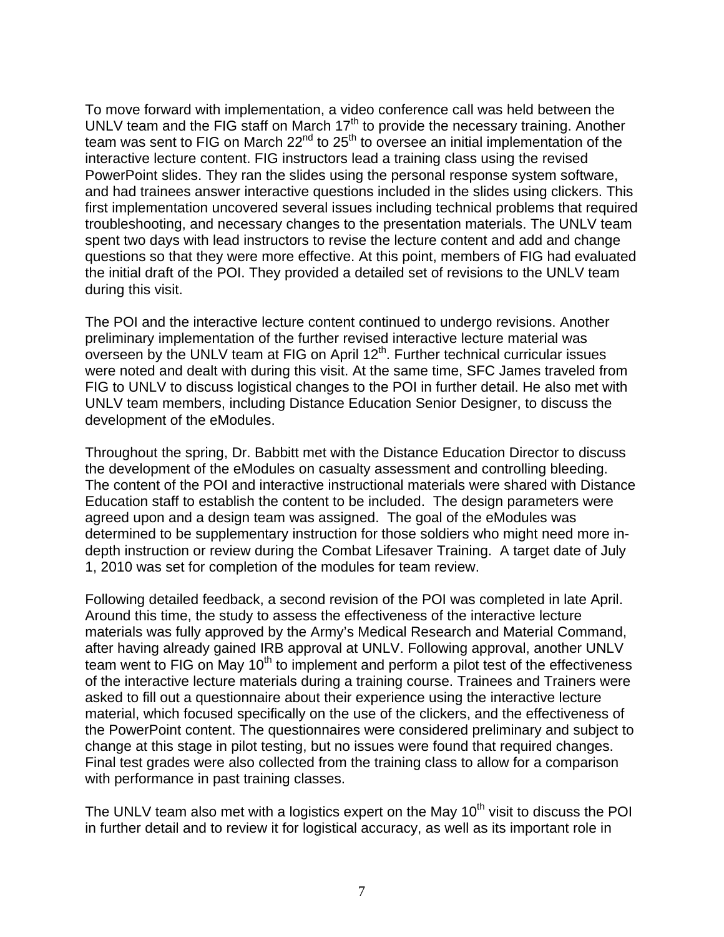To move forward with implementation, a video conference call was held between the UNLV team and the FIG staff on March  $17<sup>th</sup>$  to provide the necessary training. Another team was sent to FIG on March 22<sup>nd</sup> to 25<sup>th</sup> to oversee an initial implementation of the interactive lecture content. FIG instructors lead a training class using the revised PowerPoint slides. They ran the slides using the personal response system software, and had trainees answer interactive questions included in the slides using clickers. This first implementation uncovered several issues including technical problems that required troubleshooting, and necessary changes to the presentation materials. The UNLV team spent two days with lead instructors to revise the lecture content and add and change questions so that they were more effective. At this point, members of FIG had evaluated the initial draft of the POI. They provided a detailed set of revisions to the UNLV team during this visit.

The POI and the interactive lecture content continued to undergo revisions. Another preliminary implementation of the further revised interactive lecture material was overseen by the UNLV team at FIG on April 12<sup>th</sup>. Further technical curricular issues were noted and dealt with during this visit. At the same time, SFC James traveled from FIG to UNLV to discuss logistical changes to the POI in further detail. He also met with UNLV team members, including Distance Education Senior Designer, to discuss the development of the eModules.

Throughout the spring, Dr. Babbitt met with the Distance Education Director to discuss the development of the eModules on casualty assessment and controlling bleeding. The content of the POI and interactive instructional materials were shared with Distance Education staff to establish the content to be included. The design parameters were agreed upon and a design team was assigned. The goal of the eModules was determined to be supplementary instruction for those soldiers who might need more indepth instruction or review during the Combat Lifesaver Training. A target date of July 1, 2010 was set for completion of the modules for team review.

Following detailed feedback, a second revision of the POI was completed in late April. Around this time, the study to assess the effectiveness of the interactive lecture materials was fully approved by the Army's Medical Research and Material Command, after having already gained IRB approval at UNLV. Following approval, another UNLV team went to FIG on May 10<sup>th</sup> to implement and perform a pilot test of the effectiveness of the interactive lecture materials during a training course. Trainees and Trainers were asked to fill out a questionnaire about their experience using the interactive lecture material, which focused specifically on the use of the clickers, and the effectiveness of the PowerPoint content. The questionnaires were considered preliminary and subject to change at this stage in pilot testing, but no issues were found that required changes. Final test grades were also collected from the training class to allow for a comparison with performance in past training classes.

The UNLV team also met with a logistics expert on the May  $10<sup>th</sup>$  visit to discuss the POI in further detail and to review it for logistical accuracy, as well as its important role in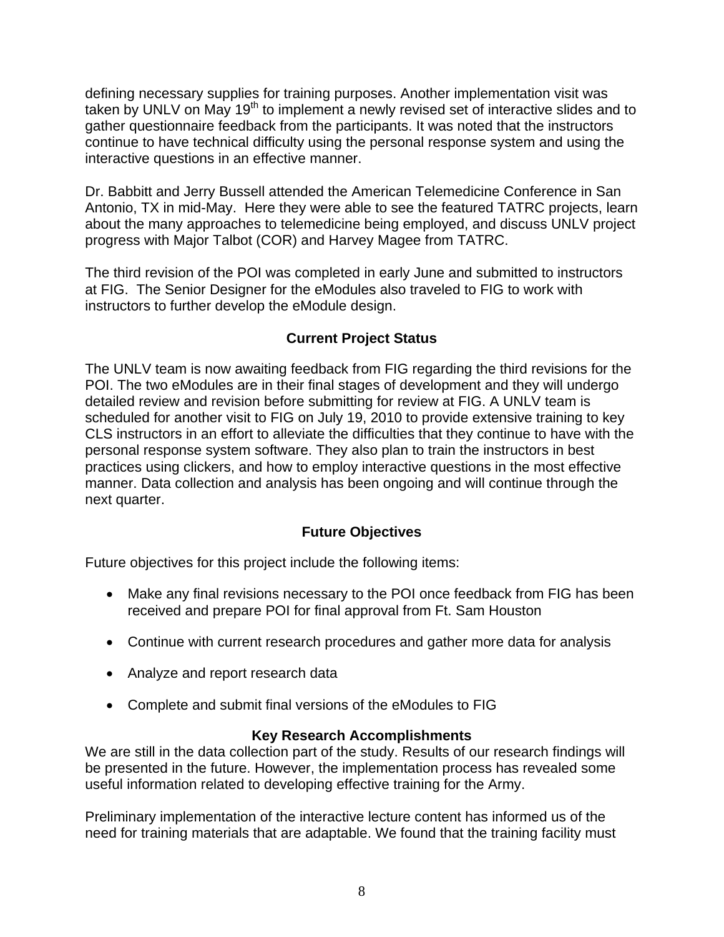defining necessary supplies for training purposes. Another implementation visit was taken by UNLV on May 19<sup>th</sup> to implement a newly revised set of interactive slides and to gather questionnaire feedback from the participants. It was noted that the instructors continue to have technical difficulty using the personal response system and using the interactive questions in an effective manner.

Dr. Babbitt and Jerry Bussell attended the American Telemedicine Conference in San Antonio, TX in mid-May. Here they were able to see the featured TATRC projects, learn about the many approaches to telemedicine being employed, and discuss UNLV project progress with Major Talbot (COR) and Harvey Magee from TATRC.

The third revision of the POI was completed in early June and submitted to instructors at FIG. The Senior Designer for the eModules also traveled to FIG to work with instructors to further develop the eModule design.

## **Current Project Status**

The UNLV team is now awaiting feedback from FIG regarding the third revisions for the POI. The two eModules are in their final stages of development and they will undergo detailed review and revision before submitting for review at FIG. A UNLV team is scheduled for another visit to FIG on July 19, 2010 to provide extensive training to key CLS instructors in an effort to alleviate the difficulties that they continue to have with the personal response system software. They also plan to train the instructors in best practices using clickers, and how to employ interactive questions in the most effective manner. Data collection and analysis has been ongoing and will continue through the next quarter.

## **Future Objectives**

<span id="page-8-0"></span>Future objectives for this project include the following items:

- Make any final revisions necessary to the POI once feedback from FIG has been received and prepare POI for final approval from Ft. Sam Houston
- Continue with current research procedures and gather more data for analysis
- Analyze and report research data
- Complete and submit final versions of the eModules to FIG

## **Key Research Accomplishments**

<span id="page-8-1"></span>We are still in the data collection part of the study. Results of our research findings will be presented in the future. However, the implementation process has revealed some useful information related to developing effective training for the Army.

Preliminary implementation of the interactive lecture content has informed us of the need for training materials that are adaptable. We found that the training facility must